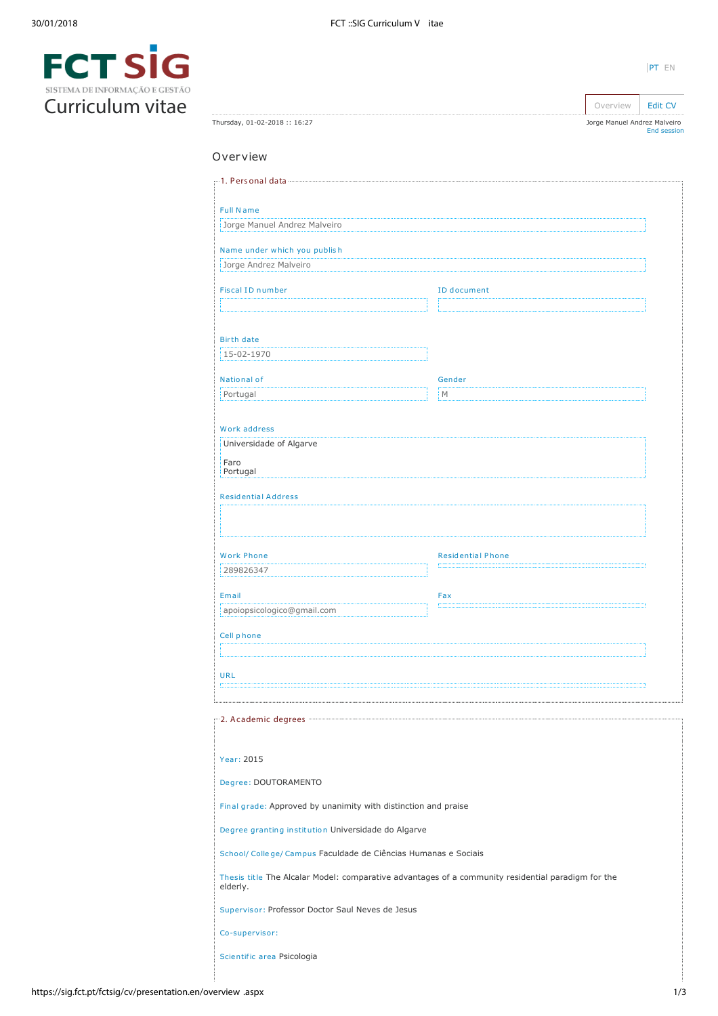

**FCTSIG**<br>Curriculum vitae

|                              | Overview                     | <b>Edit CV</b>     |
|------------------------------|------------------------------|--------------------|
| Thursday, 01-02-2018:: 16:27 | Jorge Manuel Andrez Malveiro | <b>End session</b> |

# Overview

| Jorge Manuel Andrez Malveiro                                                |                                                                                                    |  |
|-----------------------------------------------------------------------------|----------------------------------------------------------------------------------------------------|--|
|                                                                             |                                                                                                    |  |
| Name under which you publish                                                |                                                                                                    |  |
| Jorge Andrez Malveiro                                                       |                                                                                                    |  |
| <b>Fiscal ID number</b>                                                     | ID document                                                                                        |  |
|                                                                             |                                                                                                    |  |
| <b>Birth date</b>                                                           |                                                                                                    |  |
| 15-02-1970                                                                  |                                                                                                    |  |
|                                                                             |                                                                                                    |  |
| National of<br>Portugal                                                     | Gender<br>М                                                                                        |  |
|                                                                             |                                                                                                    |  |
| Work address                                                                |                                                                                                    |  |
| Universidade of Algarve                                                     |                                                                                                    |  |
| Faro<br>Portugal                                                            |                                                                                                    |  |
| <b>Residential Address</b>                                                  |                                                                                                    |  |
|                                                                             |                                                                                                    |  |
|                                                                             |                                                                                                    |  |
| <b>Work Phone</b>                                                           | <b>Residential Phone</b>                                                                           |  |
| 289826347                                                                   |                                                                                                    |  |
| Email                                                                       | Fax                                                                                                |  |
| apoiopsicologico@gmail.com                                                  |                                                                                                    |  |
| Cell phone                                                                  |                                                                                                    |  |
|                                                                             |                                                                                                    |  |
|                                                                             |                                                                                                    |  |
| <b>URL</b>                                                                  |                                                                                                    |  |
|                                                                             |                                                                                                    |  |
|                                                                             |                                                                                                    |  |
| 2. Academic degrees                                                         |                                                                                                    |  |
|                                                                             |                                                                                                    |  |
| Year: 2015                                                                  |                                                                                                    |  |
| Degree: DOUTORAMENTO                                                        |                                                                                                    |  |
| Final grade: Approved by unanimity with distinction and praise              |                                                                                                    |  |
| Degree granting institution Universidade do Algarve                         |                                                                                                    |  |
|                                                                             |                                                                                                    |  |
| School/ College/ Campus Faculdade de Ciências Humanas e Sociais<br>elderly. | Thesis title The Alcalar Model: comparative advantages of a community residential paradigm for the |  |
| Supervisor: Professor Doctor Saul Neves de Jesus                            |                                                                                                    |  |
| Co-supervisor:                                                              |                                                                                                    |  |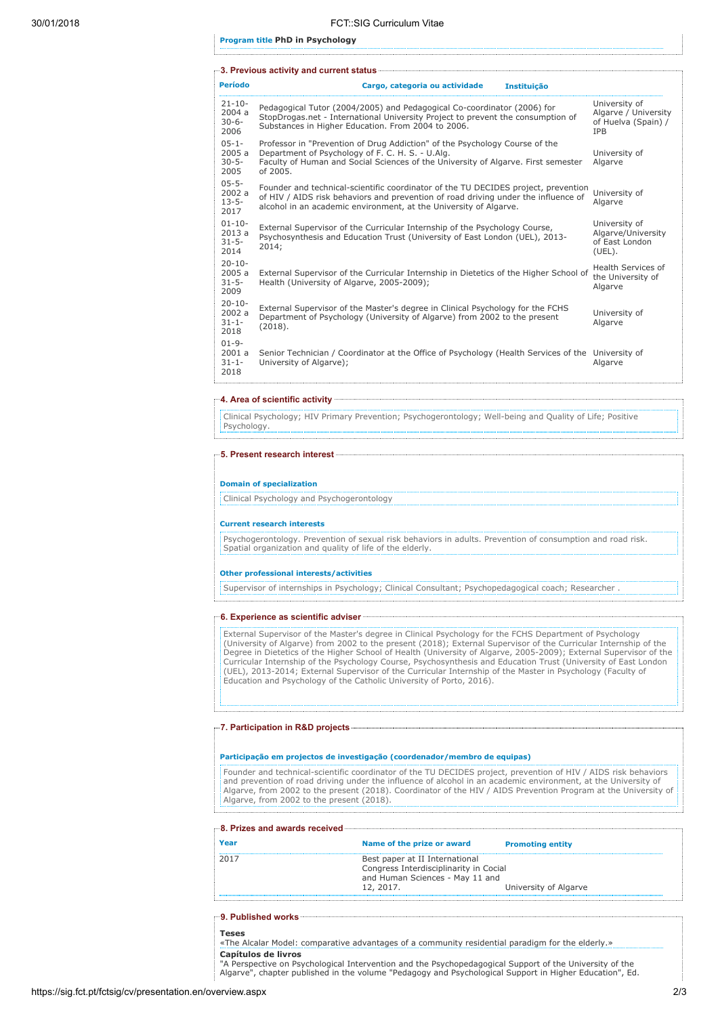Program title PhD in Psychology

|                                            | r-3. Previous activity and current status <b>Communication and Status</b> and Tation and Tation and Tation and Tation                                                                                                                         |                                                                            |
|--------------------------------------------|-----------------------------------------------------------------------------------------------------------------------------------------------------------------------------------------------------------------------------------------------|----------------------------------------------------------------------------|
| <b>Período</b>                             | Cargo, categoria ou actividade<br><b>Instituição</b>                                                                                                                                                                                          |                                                                            |
| $21 - 10 -$<br>2004a<br>$30 - 6 -$<br>2006 | Pedagogical Tutor (2004/2005) and Pedagogical Co-coordinator (2006) for<br>StopDrogas.net - International University Project to prevent the consumption of<br>Substances in Higher Education. From 2004 to 2006.                              | University of<br>Algarve / University<br>of Huelva (Spain) /<br><b>IPB</b> |
| $05 - 1 -$<br>2005a<br>$30 - 5 -$<br>2005  | Professor in "Prevention of Drug Addiction" of the Psychology Course of the<br>Department of Psychology of F. C. H. S. - U.Alg.<br>Faculty of Human and Social Sciences of the University of Algarve. First semester<br>of 2005.              | University of<br>Algarve                                                   |
| $05 - 5 -$<br>2002a<br>$13 - 5 -$<br>2017  | Founder and technical-scientific coordinator of the TU DECIDES project, prevention<br>of HIV / AIDS risk behaviors and prevention of road driving under the influence of<br>alcohol in an academic environment, at the University of Algarve. | University of<br>Algarve                                                   |
| $01 - 10 -$<br>2013a<br>$31 - 5 -$<br>2014 | External Supervisor of the Curricular Internship of the Psychology Course,<br>Psychosynthesis and Education Trust (University of East London (UEL), 2013-<br>2014;                                                                            | University of<br>Algarve/University<br>of East London<br>$(UEL)$ .         |
| $20 - 10$<br>2005 a<br>$31 - 5 -$<br>2009  | External Supervisor of the Curricular Internship in Dietetics of the Higher School of<br>Health (University of Algarye, 2005-2009);                                                                                                           | Health Services of<br>the University of<br>Algarve                         |
| $20 - 10$<br>2002a<br>$31 - 1 -$<br>2018   | External Supervisor of the Master's degree in Clinical Psychology for the FCHS<br>Department of Psychology (University of Algarve) from 2002 to the present<br>(2018).                                                                        | University of<br>Algarve                                                   |
| $01 - 9 -$<br>2001a<br>$31 - 1 -$<br>2018  | Senior Technician / Coordinator at the Office of Psychology (Health Services of the<br>University of Algarve);                                                                                                                                | University of<br>Algarve                                                   |

### 4. Area of scientific activity

Clinical Psychology; HIV Primary Prevention; Psychogerontology; Well-being and Quality of Life; Positive Psychology.

### 5. Present research interest

### Domain of specialization

Clinical Psychology and Psychogerontology

#### Current research interests

Psychogerontology. Prevention of sexual risk behaviors in adults. Prevention of consumption and road risk. Spatial organization and quality of life of the elderly.

#### Other professional interests/activities

Supervisor of internships in Psychology; Clinical Consultant; Psychopedagogical coach; Researcher .

#### 6. Experience as scientific adviser

External Supervisor of the Master's degree in Clinical Psychology for the FCHS Department of Psychology (University of Algarve) from 2002 to the present (2018); External Supervisor of the Curricular Internship of the Degree in Dietetics of the Higher School of Health (University of Algarve, 2005-2009); External Supervisor of the Curricular Internship of the Psychology Course, Psychosynthesis and Education Trust (University of East London (UEL), 2013-2014; External Supervisor of the Curricular Internship of the Master in Psychology (Faculty of Education and Psychology of the Catholic University of Porto, 2016).

### 7. Participation in R&D projects

### Participação em projectos de investigação (coordenador/membro de equipas)

Founder and technical-scientific coordinator of the TU DECIDES project, prevention of HIV / AIDS risk behaviors and prevention of road driving under the influence of alcohol in an academic environment, at the University of Algarve, from 2002 to the present (2018). Coordinator of the HIV / AIDS Prevention Program at the University of Algarve, from 2002 to the present (2018).

| Year | Name of the prize or award                                                                                               | <b>Promoting entity</b> |
|------|--------------------------------------------------------------------------------------------------------------------------|-------------------------|
| 2017 | Best paper at II International<br>Congress Interdisciplinarity in Cocial<br>and Human Sciences - May 11 and<br>12, 2017. | University of Algarve   |

### 9. Published works

Teses «The Alcalar Model: comparative advantages of a community residential paradigm for the elderly.» Capítulos de livros

"A Perspective on Psychological Intervention and the Psychopedagogical Support of the University of the Algarve", chapter published in the volume "Pedagogy and Psychological Support in Higher Education", Ed.